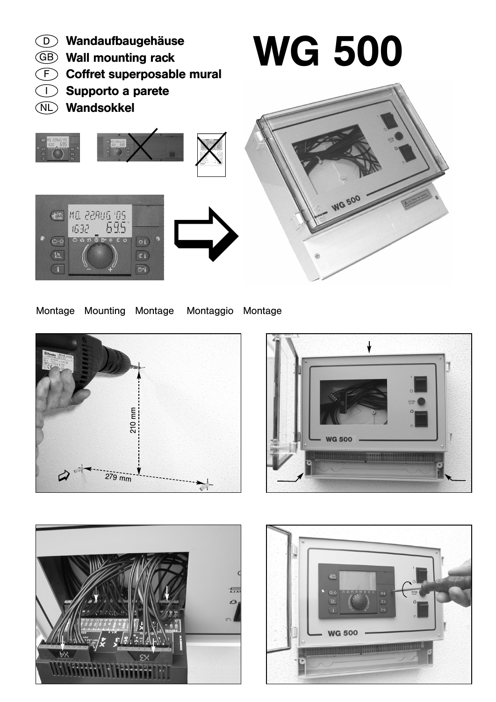

## Montage Mounting Montage Montaggio Montage







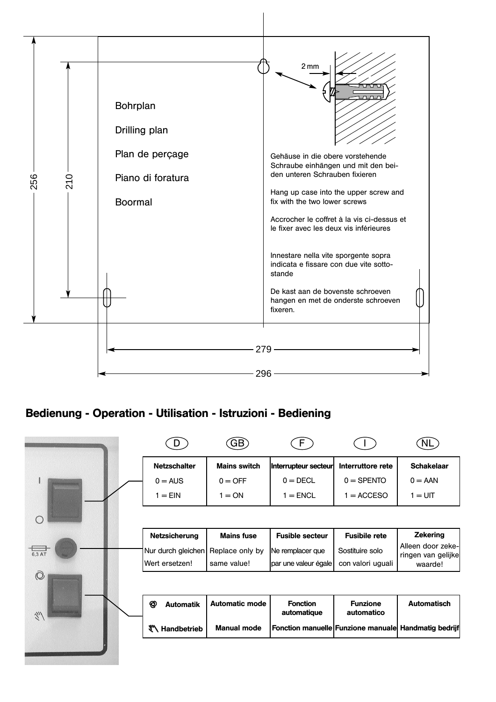

## Bedienung - Operation - Utilisation - Istruzioni - Bediening

|                                     |                            | <b>GB</b>             |                                                      |                               |                                         |
|-------------------------------------|----------------------------|-----------------------|------------------------------------------------------|-------------------------------|-----------------------------------------|
|                                     | <b>Netzschalter</b>        | <b>Mains switch</b>   | Interrupteur secteur                                 | Interruttore rete             | <b>Schakelaar</b>                       |
|                                     | $0 = AUS$                  | $0 =$ OFF             | $0 = DECL$                                           | $0 =$ SPENTO                  | $0 = AAN$                               |
|                                     | $1 = EIN$                  | $= ON$                | $1 = ENCL$                                           | $1 = ACCESO$                  | $1 = UIT$                               |
| $\subset$                           |                            |                       |                                                      |                               |                                         |
|                                     | <b>Netzsicherung</b>       | <b>Mains fuse</b>     | <b>Fusible secteur</b>                               | <b>Fusibile rete</b>          | <b>Zekering</b>                         |
| 6,3 AT                              | Nur durch gleichen         | Replace only by       | Ne remplacer que                                     | Sostituire solo               | Alleen door zeke-<br>ringen van gelijke |
|                                     | Wert ersetzen!             | same value!           | par une valeur égale                                 | con valori uguali             | waarde!                                 |
| $\odot$                             |                            |                       |                                                      |                               |                                         |
| $\tilde{\mathcal{J}}_{\mathcal{U}}$ | ත<br><b>Automatik</b>      | <b>Automatic mode</b> | <b>Fonction</b><br>automatique                       | <b>Funzione</b><br>automatico | <b>Automatisch</b>                      |
|                                     | <sup>₩</sup> \ Handbetrieb | <b>Manual mode</b>    | Fonction manuelle Funzione manuale Handmatig bedrijf |                               |                                         |
|                                     |                            |                       |                                                      |                               |                                         |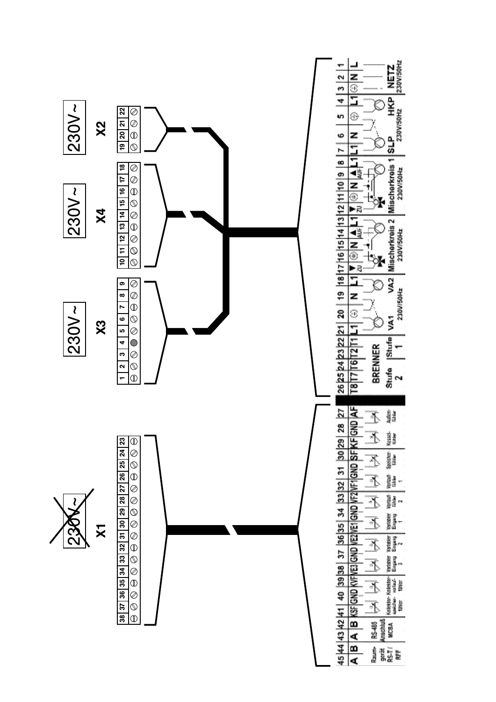